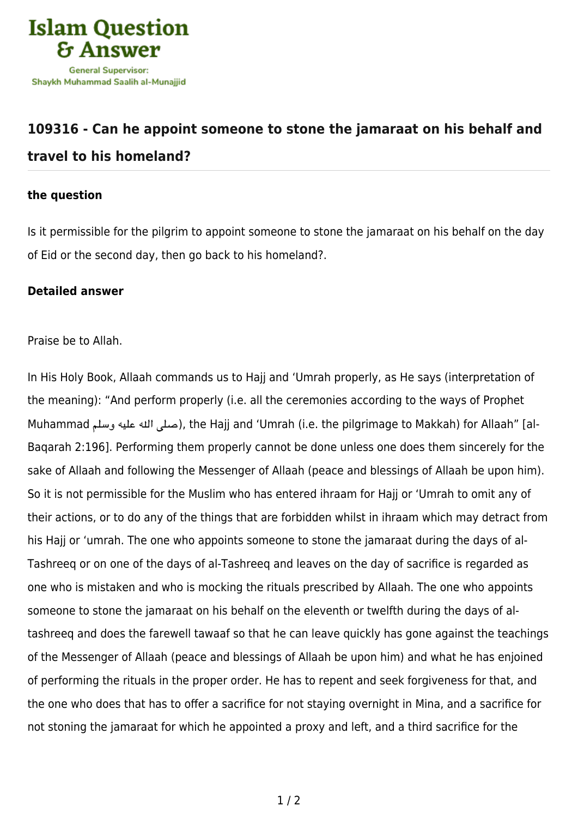

## **[109316 - Can he appoint someone to stone the jamaraat on his behalf and](https://islamqa.info/en/answers/109316/can-he-appoint-someone-to-stone-the-jamaraat-on-his-behalf-and-travel-to-his-homeland) [travel to his homeland?](https://islamqa.info/en/answers/109316/can-he-appoint-someone-to-stone-the-jamaraat-on-his-behalf-and-travel-to-his-homeland)**

## **the question**

Is it permissible for the pilgrim to appoint someone to stone the jamaraat on his behalf on the day of Eid or the second day, then go back to his homeland?.

## **Detailed answer**

Praise be to Allah.

In His Holy Book, Allaah commands us to Hajj and 'Umrah properly, as He says (interpretation of the meaning): "And perform properly (i.e. all the ceremonies according to the ways of Prophet Muhammad وسلم عليه هال صل(, the Hajj and 'Umrah (i.e. the pilgrimage to Makkah) for Allaah" [al-Baqarah 2:196]. Performing them properly cannot be done unless one does them sincerely for the sake of Allaah and following the Messenger of Allaah (peace and blessings of Allaah be upon him). So it is not permissible for the Muslim who has entered ihraam for Hajj or 'Umrah to omit any of their actions, or to do any of the things that are forbidden whilst in ihraam which may detract from his Hajj or 'umrah. The one who appoints someone to stone the jamaraat during the days of al-Tashreeq or on one of the days of al-Tashreeq and leaves on the day of sacrifice is regarded as one who is mistaken and who is mocking the rituals prescribed by Allaah. The one who appoints someone to stone the jamaraat on his behalf on the eleventh or twelfth during the days of altashreeq and does the farewell tawaaf so that he can leave quickly has gone against the teachings of the Messenger of Allaah (peace and blessings of Allaah be upon him) and what he has enjoined of performing the rituals in the proper order. He has to repent and seek forgiveness for that, and the one who does that has to offer a sacrifice for not staying overnight in Mina, and a sacrifice for not stoning the jamaraat for which he appointed a proxy and left, and a third sacrifice for the